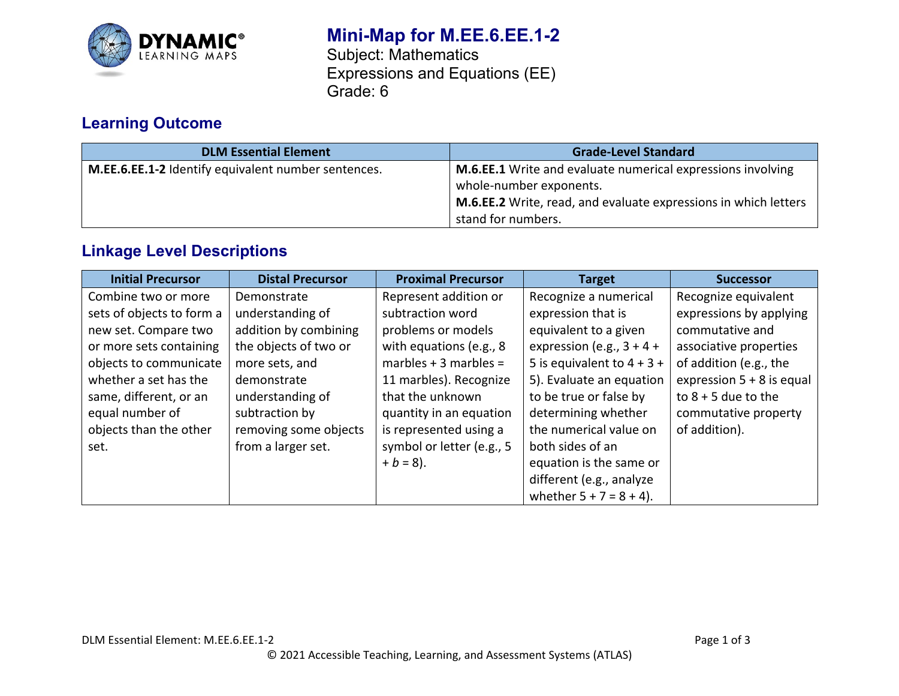

# **Mini-Map for M.EE.6.EE.1-2**

Subject: Mathematics Expressions and Equations (EE) Grade: 6

## **Learning Outcome**

| <b>DLM Essential Element</b>                        | <b>Grade-Level Standard</b>                                     |
|-----------------------------------------------------|-----------------------------------------------------------------|
| M.EE.6.EE.1-2 Identify equivalent number sentences. | M.6.EE.1 Write and evaluate numerical expressions involving     |
|                                                     | whole-number exponents.                                         |
|                                                     | M.6.EE.2 Write, read, and evaluate expressions in which letters |
|                                                     | stand for numbers.                                              |

## **Linkage Level Descriptions**

| <b>Initial Precursor</b>  | <b>Distal Precursor</b> | <b>Proximal Precursor</b> | <b>Target</b>                | <b>Successor</b>            |
|---------------------------|-------------------------|---------------------------|------------------------------|-----------------------------|
| Combine two or more       | Demonstrate             | Represent addition or     | Recognize a numerical        | Recognize equivalent        |
| sets of objects to form a | understanding of        | subtraction word          | expression that is           | expressions by applying     |
| new set. Compare two      | addition by combining   | problems or models        | equivalent to a given        | commutative and             |
| or more sets containing   | the objects of two or   | with equations (e.g., 8   | expression (e.g., $3 + 4 +$  | associative properties      |
| objects to communicate    | more sets, and          | marbles $+3$ marbles =    | 5 is equivalent to $4 + 3 +$ | of addition (e.g., the      |
| whether a set has the     | demonstrate             | 11 marbles). Recognize    | 5). Evaluate an equation     | expression $5 + 8$ is equal |
| same, different, or an    | understanding of        | that the unknown          | to be true or false by       | to $8 + 5$ due to the       |
| equal number of           | subtraction by          | quantity in an equation   | determining whether          | commutative property        |
| objects than the other    | removing some objects   | is represented using a    | the numerical value on       | of addition).               |
| set.                      | from a larger set.      | symbol or letter (e.g., 5 | both sides of an             |                             |
|                           |                         | $+ b = 8$ ).              | equation is the same or      |                             |
|                           |                         |                           | different (e.g., analyze     |                             |
|                           |                         |                           | whether $5 + 7 = 8 + 4$ ).   |                             |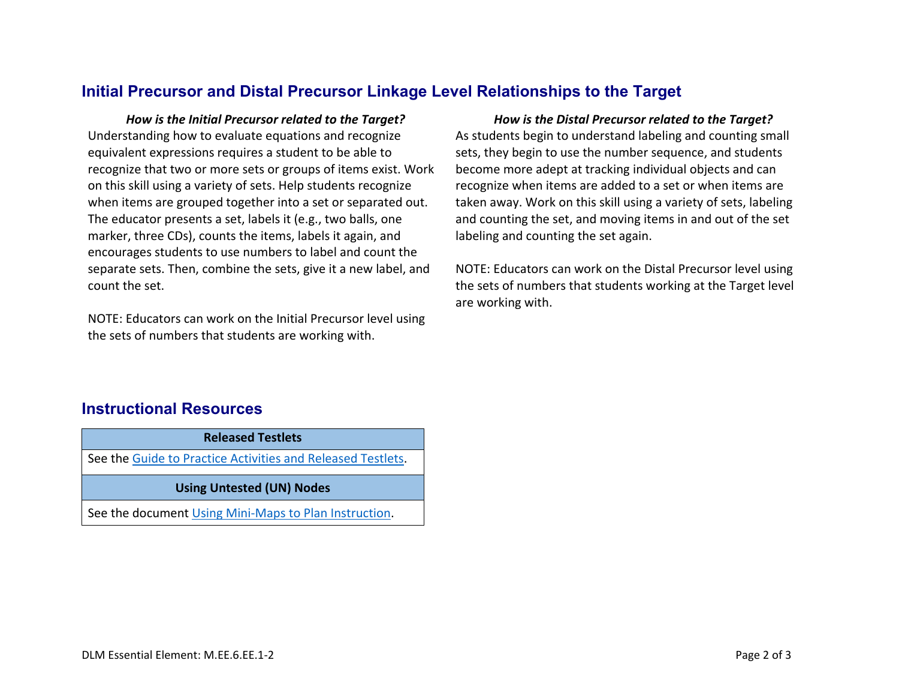#### **Initial Precursor and Distal Precursor Linkage Level Relationships to the Target**

*How is the Initial Precursor related to the Target? How is the Distal Precursor related to the Target?* Understanding how to evaluate equations and recognize equivalent expressions requires a student to be able to recognize that two or more sets or groups of items exist. Work on this skill using a variety of sets. Help students recognize when items are grouped together into a set or separated out. The educator presents a set, labels it (e.g., two balls, one marker, three CDs), counts the items, labels it again, and encourages students to use numbers to label and count the separate sets. Then, combine the sets, give it a new label, and count the set.

NOTE: Educators can work on the Initial Precursor level using the sets of numbers that students are working with.

As students begin to understand labeling and counting small sets, they begin to use the number sequence, and students become more adept at tracking individual objects and can recognize when items are added to a set or when items are taken away. Work on this skill using a variety of sets, labeling and counting the set, and moving items in and out of the set labeling and counting the set again.

NOTE: Educators can work on the Distal Precursor level using the sets of numbers that students working at the Target level are working with.

#### **Instructional Resources**

**Released Testlets** See the [Guide to Practice Activities and Released Testlets.](https://dynamiclearningmaps.org/sites/default/files/documents/Manuals_Blueprints/Guide_to_Practice_Activities_and_Released_Testlets.pdf) **Using Untested (UN) Nodes** See the document [Using Mini-Maps to Plan Instruction.](https://dynamiclearningmaps.org/sites/default/files/documents/Using_Mini_Maps_to_Plan_Instruction.pdf)